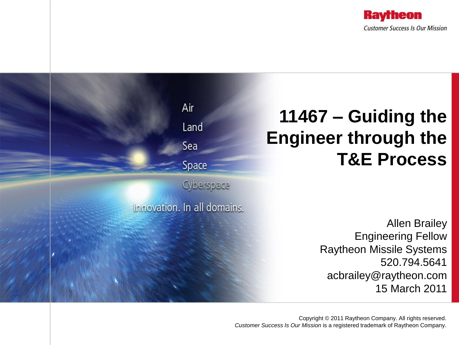

### Air **11467 – Guiding the**  Land **Engineer through the**  Sea **T&E Process** Space Cyberspace Innovation. In all domains. Allen Brailey Engineering Fellow Raytheon Missile Systems 520.794.5641 acbrailey@raytheon.com 15 March 2011

Copyright © 2011 Raytheon Company. All rights reserved. *Customer Success Is Our Mission* is a registered trademark of Raytheon Company.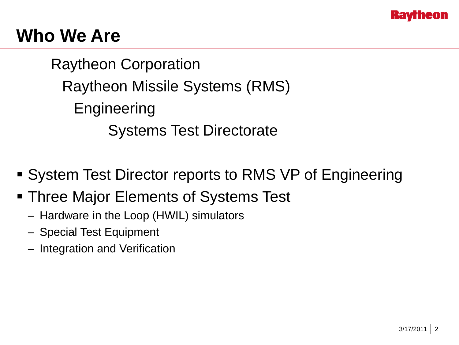

# **Who We Are**

Raytheon Corporation Raytheon Missile Systems (RMS) **Engineering** Systems Test Directorate

- System Test Director reports to RMS VP of Engineering
- **Three Major Elements of Systems Test** 
	- Hardware in the Loop (HWIL) simulators
	- Special Test Equipment
	- Integration and Verification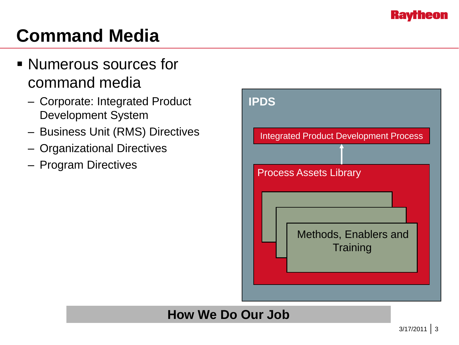**Ravrheon** 

# **Command Media**

- Numerous sources for command media
	- Corporate: Integrated Product Development System
	- Business Unit (RMS) Directives
	- Organizational Directives
	- Program Directives

| <b>Integrated Product Development Process</b><br><b>Process Assets Library</b><br>Methods, Enablers and<br>Training | <b>IPDS</b> |
|---------------------------------------------------------------------------------------------------------------------|-------------|
|                                                                                                                     |             |
|                                                                                                                     |             |
|                                                                                                                     |             |
|                                                                                                                     |             |

### **How We Do Our Job**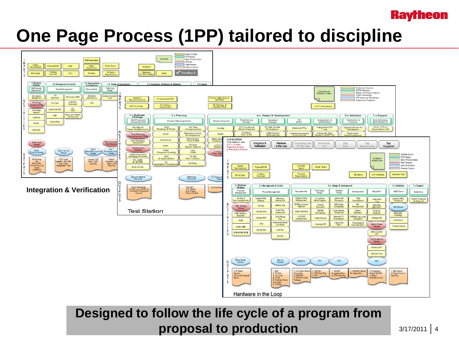#### **Raytheon**

# **One Page Process (1PP) tailored to discipline**



### **Designed to follow the life cycle of a program from proposal to production** 3/17/2011 2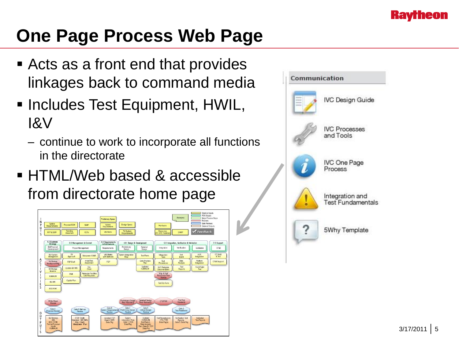

# **One Page Process Web Page**

- Acts as a front end that provides linkages back to command media
- **Includes Test Equipment, HWIL,** I&V
	- continue to work to incorporate all functions in the directorate
- HTML/Web based & accessible from directorate home page



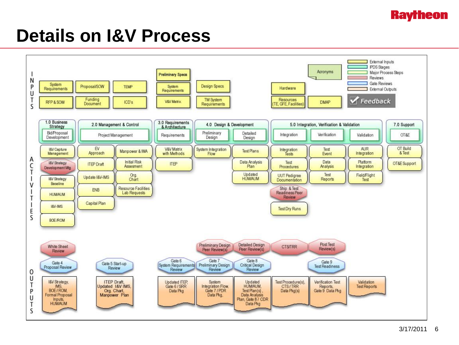

### **Details on I&V Process**

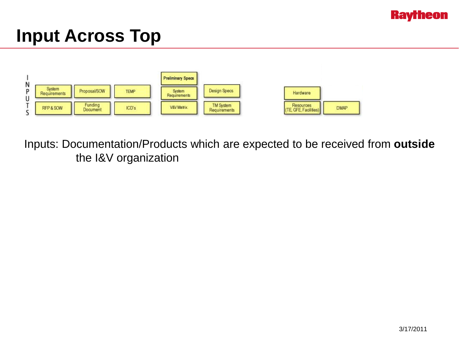

## **Input Across Top**



Inputs: Documentation/Products which are expected to be received from **outside** the I&V organization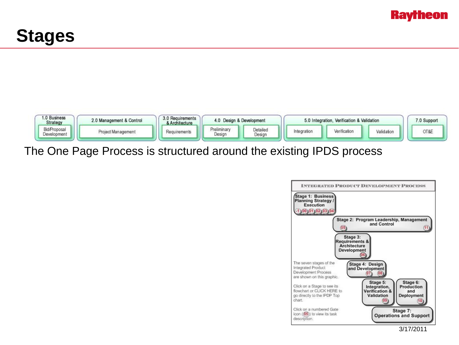





The One Page Process is structured around the existing IPDS process

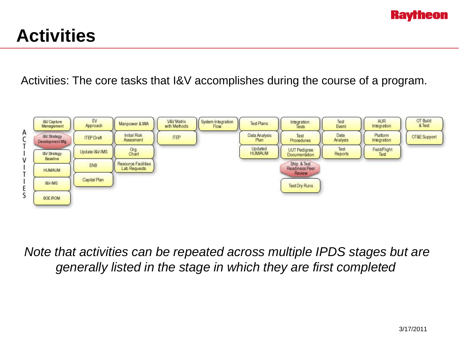

# **Activities**

Activities: The core tasks that I&V accomplishes during the course of a program.



*Note that activities can be repeated across multiple IPDS stages but are generally listed in the stage in which they are first completed*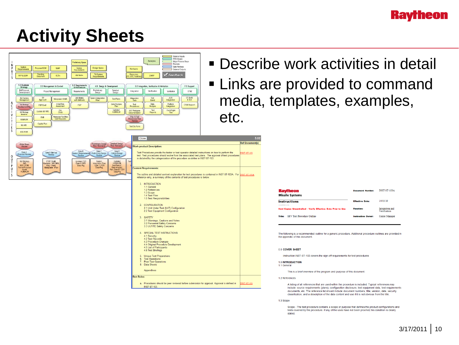#### **Raytheon**

# **Activity Sheets**



Scope - The test procedure contains a scope or purpose that defines the product configurations and tests covered by the procedure. If any of the uses have not been proofed, this condition is clearly stated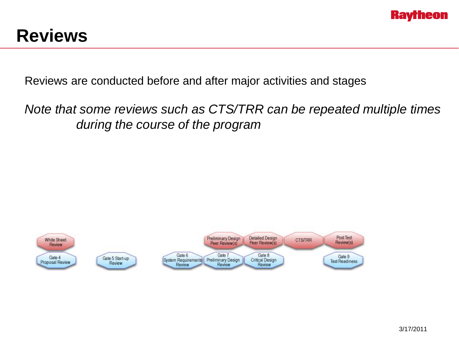

## **Reviews**

Reviews are conducted before and after major activities and stages

*Note that some reviews such as CTS/TRR can be repeated multiple times during the course of the program*

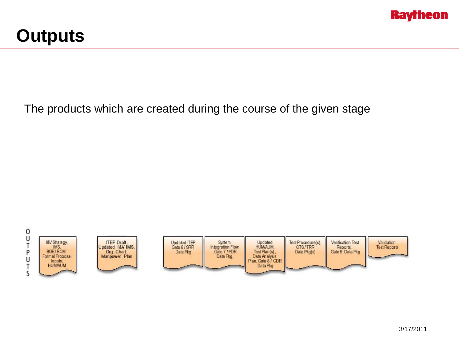

## **Outputs**

#### The products which are created during the course of the given stage